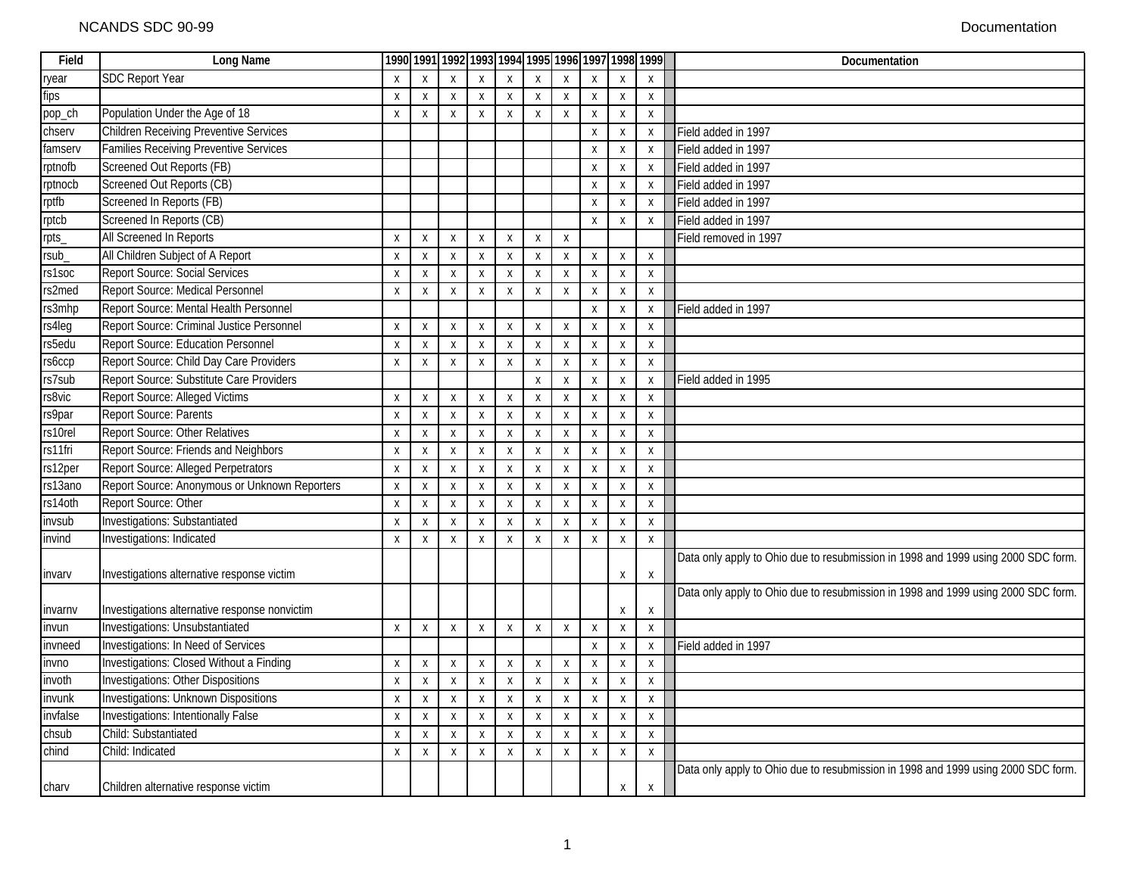| Field    | Long Name                                     |                    |                           |                           |                           |                           |                           |                           |                           |                           | 1990 1991 1992 1993 1994 1995 1996 1997 1998 1999 | Documentation                                                                     |
|----------|-----------------------------------------------|--------------------|---------------------------|---------------------------|---------------------------|---------------------------|---------------------------|---------------------------|---------------------------|---------------------------|---------------------------------------------------|-----------------------------------------------------------------------------------|
| ryear    | <b>SDC Report Year</b>                        | $\mathsf{X}$       | $\mathsf{X}$              | $\mathsf{X}$              | X                         | X                         | X                         | X                         | $\mathsf{x}$              | $\mathsf{X}$              | $\mathsf{x}$                                      |                                                                                   |
| fips     |                                               | Χ                  | X                         | $\boldsymbol{X}$          | X                         | X                         | X                         | X                         | X                         | X                         | X                                                 |                                                                                   |
| pop_ch   | Population Under the Age of 18                | X                  | X                         | $\boldsymbol{X}$          | X                         | $\boldsymbol{\mathsf{X}}$ | X                         | Χ                         | X                         | X                         | X                                                 |                                                                                   |
| chserv   | <b>Children Receiving Preventive Services</b> |                    |                           |                           |                           |                           |                           |                           | Χ                         | Χ                         | Χ                                                 | Field added in 1997                                                               |
| famserv  | <b>Families Receiving Preventive Services</b> |                    |                           |                           |                           |                           |                           |                           | X                         | X                         | X                                                 | Field added in 1997                                                               |
| rptnofb  | Screened Out Reports (FB)                     |                    |                           |                           |                           |                           |                           |                           | $\boldsymbol{\mathsf{X}}$ | $\boldsymbol{\mathsf{X}}$ | $\boldsymbol{\mathsf{X}}$                         | Field added in 1997                                                               |
| rptnocb  | Screened Out Reports (CB)                     |                    |                           |                           |                           |                           |                           |                           | X                         | X                         | X                                                 | Field added in 1997                                                               |
| rptfb    | Screened In Reports (FB)                      |                    |                           |                           |                           |                           |                           |                           | Χ                         | X                         | $\boldsymbol{\mathsf{X}}$                         | Field added in 1997                                                               |
| rptcb    | Screened In Reports (CB)                      |                    |                           |                           |                           |                           |                           |                           | Χ                         | X                         | $\pmb{\chi}$                                      | Field added in 1997                                                               |
| rpts_    | All Screened In Reports                       | X                  | X                         | $\boldsymbol{X}$          | X                         | X                         | X                         | Χ                         |                           |                           |                                                   | Field removed in 1997                                                             |
| rsub_    | All Children Subject of A Report              | X                  | $\pmb{\chi}$              | $\boldsymbol{\mathsf{X}}$ | $\mathsf{x}$              | $\boldsymbol{\mathsf{X}}$ | $\boldsymbol{\mathsf{X}}$ | Χ                         | Χ                         | Χ                         | X                                                 |                                                                                   |
| rs1soc   | <b>Report Source: Social Services</b>         | Χ                  | X                         | $\boldsymbol{X}$          | X                         | X                         | X                         | Χ                         | X                         | X                         | X                                                 |                                                                                   |
| rs2med   | Report Source: Medical Personnel              | X                  | X                         | X                         | $\mathsf{x}$              | $\boldsymbol{\mathsf{X}}$ | $\boldsymbol{\mathsf{X}}$ | X                         | $\boldsymbol{\mathsf{X}}$ | $\boldsymbol{\mathsf{X}}$ | $\mathsf{x}$                                      |                                                                                   |
| rs3mhp   | Report Source: Mental Health Personnel        |                    |                           |                           |                           |                           |                           |                           | X                         | X                         | X                                                 | Field added in 1997                                                               |
| rs4leg   | Report Source: Criminal Justice Personnel     | X                  | X                         | $\boldsymbol{\mathsf{X}}$ | $\mathsf{X}$              | $\boldsymbol{\mathsf{X}}$ | $\boldsymbol{\mathsf{X}}$ | $\mathsf{\chi}$           | $\mathsf{X}$              | $\sf X$                   | $\sf X$                                           |                                                                                   |
| rs5edu   | Report Source: Education Personnel            | $\pmb{\mathsf{X}}$ | $\pmb{\mathsf{X}}$        | $\pmb{\chi}$              | X                         | $\boldsymbol{\mathsf{X}}$ | $\boldsymbol{\mathsf{X}}$ | $\boldsymbol{\mathsf{X}}$ | Χ                         | Χ                         | $\pmb{\chi}$                                      |                                                                                   |
| rs6ccp   | Report Source: Child Day Care Providers       | Χ                  | X                         | X                         | X                         | $\boldsymbol{\mathsf{X}}$ | X                         | Χ                         | X                         | X                         | $\boldsymbol{\mathsf{X}}$                         |                                                                                   |
| rs7sub   | Report Source: Substitute Care Providers      |                    |                           |                           |                           |                           | $\boldsymbol{\mathsf{X}}$ | X                         | Χ                         | Χ                         | Χ                                                 | Field added in 1995                                                               |
| rs8vic   | <b>Report Source: Alleged Victims</b>         | X                  | X                         | $\boldsymbol{X}$          | X                         | $\boldsymbol{\mathsf{X}}$ | X                         | Χ                         | X                         | X                         | X                                                 |                                                                                   |
| rs9par   | Report Source: Parents                        | X                  | $\mathsf{X}$              | $\boldsymbol{\mathsf{X}}$ | $\mathsf{X}$              | $\boldsymbol{\mathsf{X}}$ | $\boldsymbol{\mathsf{X}}$ | $\mathsf{\chi}$           | $\boldsymbol{\mathsf{x}}$ | $\boldsymbol{\mathsf{X}}$ | $\sf X$                                           |                                                                                   |
| rs10rel  | Report Source: Other Relatives                | X                  | X                         | X                         | Χ                         | X                         | X                         | Χ                         | Χ                         | X                         | X                                                 |                                                                                   |
| rs11fri  | Report Source: Friends and Neighbors          | X                  | X                         | $\boldsymbol{X}$          | $\mathsf{X}$              | $\boldsymbol{\mathsf{X}}$ | $\boldsymbol{\mathsf{X}}$ | Χ                         | Χ                         | $\boldsymbol{\mathsf{X}}$ | $\boldsymbol{\mathsf{X}}$                         |                                                                                   |
| rs12per  | Report Source: Alleged Perpetrators           | $\pmb{\mathsf{X}}$ | $\pmb{\chi}$              | $\pmb{\chi}$              | $\mathsf{X}$              | $\boldsymbol{\mathsf{X}}$ | $\boldsymbol{\mathsf{X}}$ | X                         | X                         | X                         | $\boldsymbol{\mathsf{X}}$                         |                                                                                   |
| rs13ano  | Report Source: Anonymous or Unknown Reporters | X                  | X                         | $\boldsymbol{X}$          | Χ                         | X                         | X                         | $\boldsymbol{\mathsf{X}}$ | $\boldsymbol{\mathsf{X}}$ | X                         | X                                                 |                                                                                   |
| rs14oth  | Report Source: Other                          | Χ                  | $\pmb{\chi}$              | $\boldsymbol{\mathsf{X}}$ | Χ                         | $\boldsymbol{\mathsf{X}}$ | $\boldsymbol{\mathsf{X}}$ | $\mathsf{\chi}$           | Χ                         | Χ                         | $\boldsymbol{\mathsf{X}}$                         |                                                                                   |
| invsub   | <b>Investigations: Substantiated</b>          | X                  | X                         | X                         | X                         | X                         | X                         | Χ                         | Χ                         | X                         | X                                                 |                                                                                   |
| invind   | Investigations: Indicated                     | X                  | X                         | X                         | $\mathsf{x}$              | $\boldsymbol{\mathsf{X}}$ | X                         | $\mathsf{\chi}$           | $\boldsymbol{\mathsf{X}}$ | $\boldsymbol{\mathsf{X}}$ | $\mathsf{X}$                                      |                                                                                   |
|          |                                               |                    |                           |                           |                           |                           |                           |                           |                           |                           |                                                   | Data only apply to Ohio due to resubmission in 1998 and 1999 using 2000 SDC form. |
| invary   | Investigations alternative response victim    |                    |                           |                           |                           |                           |                           |                           |                           | X                         | X                                                 |                                                                                   |
|          |                                               |                    |                           |                           |                           |                           |                           |                           |                           |                           |                                                   | Data only apply to Ohio due to resubmission in 1998 and 1999 using 2000 SDC form. |
| invarnv  | Investigations alternative response nonvictim |                    |                           |                           |                           |                           |                           |                           |                           | $\boldsymbol{\mathsf{X}}$ | X                                                 |                                                                                   |
| invun    | Investigations: Unsubstantiated               | X                  | $\pmb{\mathsf{X}}$        | Χ                         | Χ                         | X                         | Χ                         | $\boldsymbol{\mathsf{X}}$ | Χ                         | Χ                         | $\mathsf{x}$                                      |                                                                                   |
| invneed  | Investigations: In Need of Services           |                    |                           |                           |                           |                           |                           |                           | $\mathsf{X}$              | $\boldsymbol{\mathsf{X}}$ | X                                                 | Field added in 1997                                                               |
| invno    | Investigations: Closed Without a Finding      | X                  | X                         | X                         | $\mathsf{x}$              | X                         | X                         | X                         | X                         | X                         | $\boldsymbol{\mathsf{X}}$                         |                                                                                   |
| invoth   | <b>Investigations: Other Dispositions</b>     | X                  | $\boldsymbol{\mathsf{X}}$ | Χ                         | X                         | X                         | X                         | X                         | X                         | X                         | X                                                 |                                                                                   |
| invunk   | <b>Investigations: Unknown Dispositions</b>   | X                  | Χ                         | X                         | X                         | X                         | X                         | X                         | X                         | X                         | $\boldsymbol{\mathsf{X}}$                         |                                                                                   |
| invfalse | <b>Investigations: Intentionally False</b>    | Χ                  | Χ                         | X                         | $\mathsf{x}$              | X                         | X                         | $\boldsymbol{\mathsf{X}}$ | X                         | X                         | $\boldsymbol{\mathsf{x}}$                         |                                                                                   |
| chsub    | Child: Substantiated                          | X                  | $\boldsymbol{\mathsf{X}}$ | X                         | $\boldsymbol{\mathsf{X}}$ | $\boldsymbol{\mathsf{X}}$ | $\boldsymbol{\mathsf{x}}$ | X                         | $\boldsymbol{\mathsf{X}}$ | $\boldsymbol{\mathsf{X}}$ | X                                                 |                                                                                   |
| chind    | Child: Indicated                              | X                  | $\mathsf{X}$              | $\mathsf{X}$              | $\boldsymbol{\mathsf{X}}$ | X                         | X                         | Χ                         | Χ                         | $\pmb{\mathsf{X}}$        | $\pmb{\mathsf{X}}$                                |                                                                                   |
|          |                                               |                    |                           |                           |                           |                           |                           |                           |                           |                           |                                                   | Data only apply to Ohio due to resubmission in 1998 and 1999 using 2000 SDC form. |
| charv    | Children alternative response victim          |                    |                           |                           |                           |                           |                           |                           |                           | X                         | X                                                 |                                                                                   |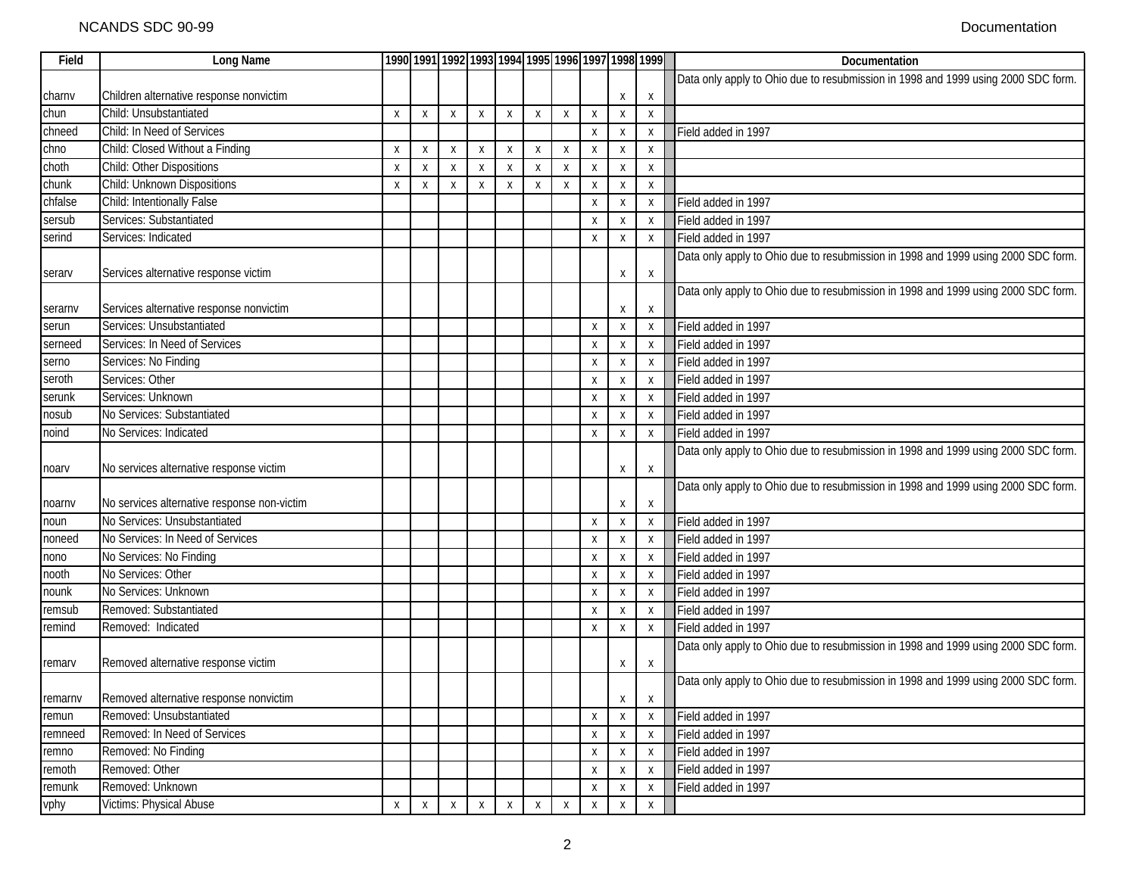| Long Name                               |                                                                                                                                                                                                                                                                                                                                                                                                                                                                                                                                                                                                                                                                                        |              |              |              |                  |              |   |   |                                                     |                                                                              | Documentation                                                                                                           |
|-----------------------------------------|----------------------------------------------------------------------------------------------------------------------------------------------------------------------------------------------------------------------------------------------------------------------------------------------------------------------------------------------------------------------------------------------------------------------------------------------------------------------------------------------------------------------------------------------------------------------------------------------------------------------------------------------------------------------------------------|--------------|--------------|--------------|------------------|--------------|---|---|-----------------------------------------------------|------------------------------------------------------------------------------|-------------------------------------------------------------------------------------------------------------------------|
|                                         |                                                                                                                                                                                                                                                                                                                                                                                                                                                                                                                                                                                                                                                                                        |              |              |              |                  |              |   |   |                                                     |                                                                              | Data only apply to Ohio due to resubmission in 1998 and 1999 using 2000 SDC form.                                       |
| Children alternative response nonvictim |                                                                                                                                                                                                                                                                                                                                                                                                                                                                                                                                                                                                                                                                                        |              |              |              |                  |              |   |   | Х                                                   | Χ                                                                            |                                                                                                                         |
| Child: Unsubstantiated                  | X                                                                                                                                                                                                                                                                                                                                                                                                                                                                                                                                                                                                                                                                                      | X            | X            | X            | X                | Χ            | X | X | X                                                   | X                                                                            |                                                                                                                         |
| Child: In Need of Services              |                                                                                                                                                                                                                                                                                                                                                                                                                                                                                                                                                                                                                                                                                        |              |              |              |                  |              |   | X | X                                                   | X                                                                            | Field added in 1997                                                                                                     |
| Child: Closed Without a Finding         | X                                                                                                                                                                                                                                                                                                                                                                                                                                                                                                                                                                                                                                                                                      | X            | X            | $\mathsf{X}$ | $\boldsymbol{X}$ | X            | X | X | X                                                   | X                                                                            |                                                                                                                         |
| Child: Other Dispositions               | X                                                                                                                                                                                                                                                                                                                                                                                                                                                                                                                                                                                                                                                                                      | X            | X            | X            | X                | X            | X | X | X                                                   | X                                                                            |                                                                                                                         |
| Child: Unknown Dispositions             | X                                                                                                                                                                                                                                                                                                                                                                                                                                                                                                                                                                                                                                                                                      | X            | X            | X            | $\boldsymbol{X}$ | Χ            | Χ | X | X                                                   | X                                                                            |                                                                                                                         |
| Child: Intentionally False              |                                                                                                                                                                                                                                                                                                                                                                                                                                                                                                                                                                                                                                                                                        |              |              |              |                  |              |   | X | X                                                   | X                                                                            | Field added in 1997                                                                                                     |
| Services: Substantiated                 |                                                                                                                                                                                                                                                                                                                                                                                                                                                                                                                                                                                                                                                                                        |              |              |              |                  |              |   | X | X                                                   | X                                                                            | Field added in 1997                                                                                                     |
| Services: Indicated                     |                                                                                                                                                                                                                                                                                                                                                                                                                                                                                                                                                                                                                                                                                        |              |              |              |                  |              |   | X | X                                                   | X                                                                            | Field added in 1997                                                                                                     |
|                                         |                                                                                                                                                                                                                                                                                                                                                                                                                                                                                                                                                                                                                                                                                        |              |              |              |                  |              |   |   |                                                     |                                                                              | Data only apply to Ohio due to resubmission in 1998 and 1999 using 2000 SDC form.                                       |
|                                         |                                                                                                                                                                                                                                                                                                                                                                                                                                                                                                                                                                                                                                                                                        |              |              |              |                  |              |   |   | X                                                   | X                                                                            |                                                                                                                         |
|                                         |                                                                                                                                                                                                                                                                                                                                                                                                                                                                                                                                                                                                                                                                                        |              |              |              |                  |              |   |   |                                                     |                                                                              | Data only apply to Ohio due to resubmission in 1998 and 1999 using 2000 SDC form.                                       |
|                                         |                                                                                                                                                                                                                                                                                                                                                                                                                                                                                                                                                                                                                                                                                        |              |              |              |                  |              |   |   | Χ                                                   | X                                                                            |                                                                                                                         |
| Services: Unsubstantiated               |                                                                                                                                                                                                                                                                                                                                                                                                                                                                                                                                                                                                                                                                                        |              |              |              |                  |              |   | X | X                                                   | X                                                                            | Field added in 1997                                                                                                     |
| Services: In Need of Services           |                                                                                                                                                                                                                                                                                                                                                                                                                                                                                                                                                                                                                                                                                        |              |              |              |                  |              |   | X | X                                                   | X                                                                            | Field added in 1997                                                                                                     |
|                                         |                                                                                                                                                                                                                                                                                                                                                                                                                                                                                                                                                                                                                                                                                        |              |              |              |                  |              |   | X | X                                                   | X                                                                            | Field added in 1997                                                                                                     |
| Services: Other                         |                                                                                                                                                                                                                                                                                                                                                                                                                                                                                                                                                                                                                                                                                        |              |              |              |                  |              |   | X | X                                                   | X                                                                            | Field added in 1997                                                                                                     |
|                                         |                                                                                                                                                                                                                                                                                                                                                                                                                                                                                                                                                                                                                                                                                        |              |              |              |                  |              |   | X | X                                                   | X                                                                            | Field added in 1997                                                                                                     |
|                                         |                                                                                                                                                                                                                                                                                                                                                                                                                                                                                                                                                                                                                                                                                        |              |              |              |                  |              |   | X | X                                                   | X                                                                            | Field added in 1997                                                                                                     |
|                                         |                                                                                                                                                                                                                                                                                                                                                                                                                                                                                                                                                                                                                                                                                        |              |              |              |                  |              |   |   | X                                                   | X                                                                            | Field added in 1997                                                                                                     |
|                                         |                                                                                                                                                                                                                                                                                                                                                                                                                                                                                                                                                                                                                                                                                        |              |              |              |                  |              |   |   |                                                     |                                                                              | Data only apply to Ohio due to resubmission in 1998 and 1999 using 2000 SDC form.                                       |
|                                         |                                                                                                                                                                                                                                                                                                                                                                                                                                                                                                                                                                                                                                                                                        |              |              |              |                  |              |   |   |                                                     |                                                                              |                                                                                                                         |
|                                         |                                                                                                                                                                                                                                                                                                                                                                                                                                                                                                                                                                                                                                                                                        |              |              |              |                  |              |   |   |                                                     |                                                                              | Data only apply to Ohio due to resubmission in 1998 and 1999 using 2000 SDC form.                                       |
|                                         |                                                                                                                                                                                                                                                                                                                                                                                                                                                                                                                                                                                                                                                                                        |              |              |              |                  |              |   |   |                                                     |                                                                              |                                                                                                                         |
|                                         |                                                                                                                                                                                                                                                                                                                                                                                                                                                                                                                                                                                                                                                                                        |              |              |              |                  |              |   |   |                                                     |                                                                              | Field added in 1997                                                                                                     |
|                                         |                                                                                                                                                                                                                                                                                                                                                                                                                                                                                                                                                                                                                                                                                        |              |              |              |                  |              |   | X |                                                     | X                                                                            | Field added in 1997                                                                                                     |
|                                         |                                                                                                                                                                                                                                                                                                                                                                                                                                                                                                                                                                                                                                                                                        |              |              |              |                  |              |   |   |                                                     |                                                                              | Field added in 1997                                                                                                     |
|                                         |                                                                                                                                                                                                                                                                                                                                                                                                                                                                                                                                                                                                                                                                                        |              |              |              |                  |              |   | X | X                                                   | X                                                                            | Field added in 1997                                                                                                     |
|                                         |                                                                                                                                                                                                                                                                                                                                                                                                                                                                                                                                                                                                                                                                                        |              |              |              |                  |              |   |   |                                                     | X                                                                            | Field added in 1997                                                                                                     |
| Removed: Substantiated                  |                                                                                                                                                                                                                                                                                                                                                                                                                                                                                                                                                                                                                                                                                        |              |              |              |                  |              |   |   |                                                     |                                                                              | Field added in 1997                                                                                                     |
|                                         |                                                                                                                                                                                                                                                                                                                                                                                                                                                                                                                                                                                                                                                                                        |              |              |              |                  |              |   | X |                                                     |                                                                              | Field added in 1997                                                                                                     |
|                                         |                                                                                                                                                                                                                                                                                                                                                                                                                                                                                                                                                                                                                                                                                        |              |              |              |                  |              |   |   |                                                     |                                                                              | Data only apply to Ohio due to resubmission in 1998 and 1999 using 2000 SDC form.                                       |
|                                         |                                                                                                                                                                                                                                                                                                                                                                                                                                                                                                                                                                                                                                                                                        |              |              |              |                  |              |   |   |                                                     |                                                                              |                                                                                                                         |
|                                         |                                                                                                                                                                                                                                                                                                                                                                                                                                                                                                                                                                                                                                                                                        |              |              |              |                  |              |   |   |                                                     |                                                                              | Data only apply to Ohio due to resubmission in 1998 and 1999 using 2000 SDC form.                                       |
|                                         |                                                                                                                                                                                                                                                                                                                                                                                                                                                                                                                                                                                                                                                                                        |              |              |              |                  |              |   |   |                                                     |                                                                              |                                                                                                                         |
|                                         |                                                                                                                                                                                                                                                                                                                                                                                                                                                                                                                                                                                                                                                                                        |              |              |              |                  |              |   |   |                                                     |                                                                              | Field added in 1997                                                                                                     |
|                                         |                                                                                                                                                                                                                                                                                                                                                                                                                                                                                                                                                                                                                                                                                        |              |              |              |                  |              |   |   |                                                     |                                                                              | Field added in 1997                                                                                                     |
|                                         |                                                                                                                                                                                                                                                                                                                                                                                                                                                                                                                                                                                                                                                                                        |              |              |              |                  |              |   |   |                                                     |                                                                              | Field added in 1997                                                                                                     |
|                                         |                                                                                                                                                                                                                                                                                                                                                                                                                                                                                                                                                                                                                                                                                        |              |              |              |                  |              |   |   |                                                     |                                                                              | Field added in 1997                                                                                                     |
|                                         |                                                                                                                                                                                                                                                                                                                                                                                                                                                                                                                                                                                                                                                                                        |              |              |              |                  |              |   |   |                                                     |                                                                              | Field added in 1997                                                                                                     |
|                                         |                                                                                                                                                                                                                                                                                                                                                                                                                                                                                                                                                                                                                                                                                        |              |              |              |                  |              |   |   |                                                     |                                                                              |                                                                                                                         |
|                                         | Services alternative response victim<br>Services alternative response nonvictim<br>Services: No Finding<br>Services: Unknown<br>No Services: Substantiated<br>No Services: Indicated<br>No services alternative response victim<br>No services alternative response non-victim<br>No Services: Unsubstantiated<br>No Services: In Need of Services<br>No Services: No Finding<br>No Services: Other<br>No Services: Unknown<br>Removed: Indicated<br>Removed alternative response victim<br>Removed alternative response nonvictim<br>Removed: Unsubstantiated<br>Removed: In Need of Services<br>Removed: No Finding<br>Removed: Other<br>Removed: Unknown<br>Victims: Physical Abuse | $\mathsf{X}$ | $\mathsf{X}$ | $\mathsf{X}$ | $\mathsf{X}$     | $\mathsf{X}$ | X | X | X<br>X<br>X<br>X<br>X<br>Χ<br>Х<br>X<br>X<br>X<br>X | Χ<br>Х<br>X<br>X<br>X<br>X<br>X<br>X<br>Χ<br>X<br>X<br>Х<br>X<br>X<br>Х<br>X | 1990 1991 1992 1993 1994 1995 1996 1997 1998 1999<br>х<br>X<br>X<br>X<br>X<br>X<br>х<br>X<br>X<br>X<br>X<br>X<br>Χ<br>X |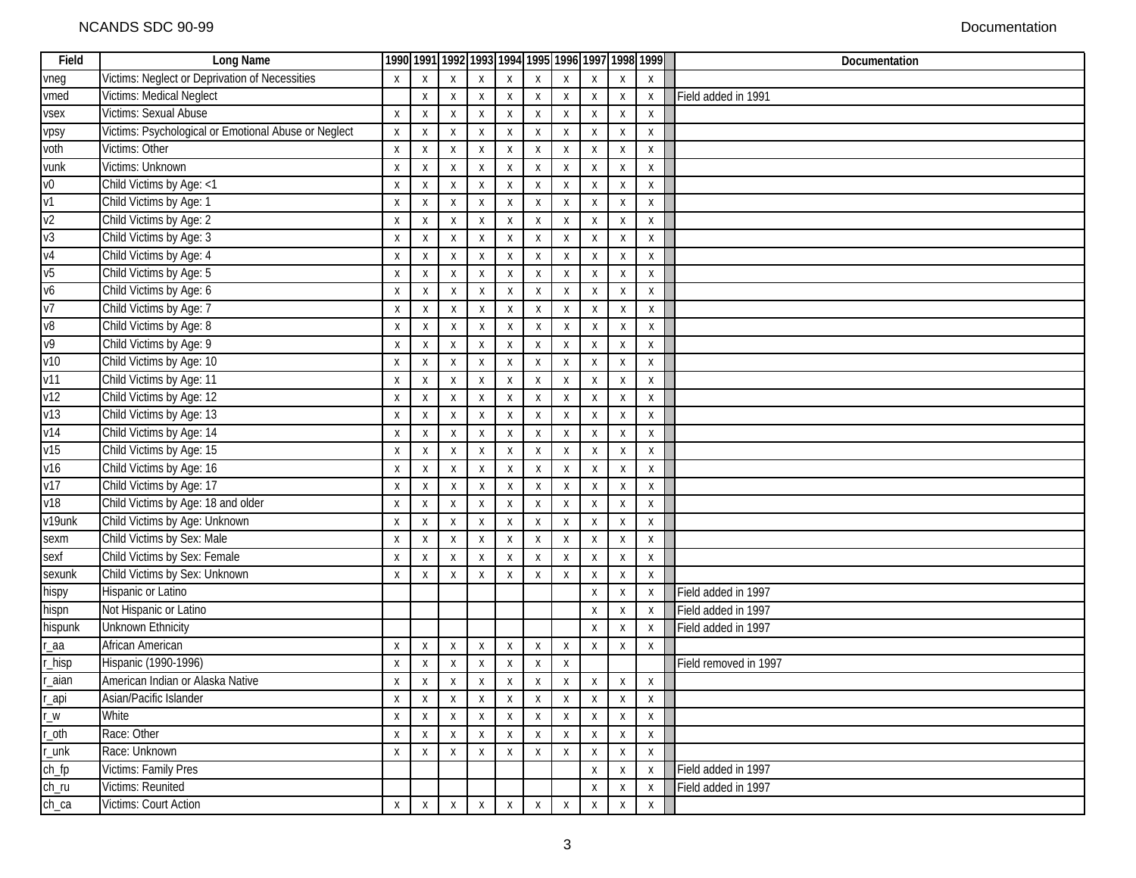| Field           | Long Name                                            |                  |                           |                  |                  |                  |              |                           |                           |                           | 1990 1991 1992 1993 1994 1995 1996 1997 1998 1999 | Documentation         |
|-----------------|------------------------------------------------------|------------------|---------------------------|------------------|------------------|------------------|--------------|---------------------------|---------------------------|---------------------------|---------------------------------------------------|-----------------------|
| vneg            | Victims: Neglect or Deprivation of Necessities       | X                | X                         | X                | $\mathsf{X}$     | X                | X            |                           |                           |                           | X                                                 |                       |
| vmed            | Victims: Medical Neglect                             |                  | X                         | X                | X                | X                | Χ            | Х                         | Х                         | X                         | X                                                 | Field added in 1991   |
| vsex            | Victims: Sexual Abuse                                | X                | X                         | X                | X                | X                | X            | X                         | X                         | X                         | X                                                 |                       |
| vpsy            | Victims: Psychological or Emotional Abuse or Neglect | X                | Χ                         | X                | X                | Χ                | Х            | X                         | Χ                         | X                         | X                                                 |                       |
| voth            | Victims: Other                                       | X                | Χ                         | X                | X                | X                | X            | Χ                         | X                         | X                         | X                                                 |                       |
| vunk            | Victims: Unknown                                     | X                | X                         | X                | X                | X                | Χ            | Х                         | Х                         | Х                         | X                                                 |                       |
| V <sup>0</sup>  | Child Victims by Age: <1                             | X                | $\boldsymbol{\mathsf{X}}$ | X                | X                | X                | X            | X                         | X                         | X                         | X                                                 |                       |
| V <sub>1</sub>  | Child Victims by Age: 1                              | X                | X                         | X                | X                | X                | X            | X                         | X                         | X                         | X                                                 |                       |
| v <sub>2</sub>  | Child Victims by Age: 2                              | X                | X                         | X                | X                | X                | X            | X                         | X                         | X                         | X                                                 |                       |
| v3              | Child Victims by Age: 3                              | X                | X                         | X                | X                | X                | X            | X                         | X                         | X                         | X                                                 |                       |
| V <sub>4</sub>  | Child Victims by Age: 4                              | X                | X                         | X                | X                | X                | X            | X                         | X                         | $\boldsymbol{\mathsf{X}}$ | X                                                 |                       |
| V <sub>5</sub>  | Child Victims by Age: 5                              | X                | X                         | X                | X                | X                | X            | $\boldsymbol{\mathsf{X}}$ | $\boldsymbol{\mathsf{x}}$ | $\mathsf{X}$              | X                                                 |                       |
| v6              | Child Victims by Age: 6                              | X                | х                         | X                | X                | X                | X            | X                         | X                         | X                         | X                                                 |                       |
| V <sub>7</sub>  | Child Victims by Age: 7                              | Χ                | Χ                         | X                | Х                | X                | X            | X                         | X                         | X                         | X                                                 |                       |
| v8              | Child Victims by Age: 8                              | X                | X                         | X                | X                | X                | Χ            | X                         | X                         | X                         | X                                                 |                       |
| V <sup>9</sup>  | Child Victims by Age: 9                              | $\boldsymbol{X}$ | X                         | $\boldsymbol{X}$ | $\boldsymbol{X}$ | X                | X            | X                         | Χ                         | Χ                         | X                                                 |                       |
| V <sub>10</sub> | Child Victims by Age: 10                             | X                | X                         | Χ                | X                | X                | Х            | Χ                         | Χ                         | X                         | X                                                 |                       |
| v11             | Child Victims by Age: 11                             | Χ                | Χ                         | Χ                | X                | Х                | X            | X                         | X                         | Х                         | X                                                 |                       |
| v12             | Child Victims by Age: 12                             | X                | X                         | X                | X                | X                | X            | X                         | X                         | Х                         | X                                                 |                       |
| v13             | Child Victims by Age: 13                             | Χ                | Х                         | X                | X                | X                | X            | X                         | X                         | X                         | X                                                 |                       |
| V <sub>14</sub> | Child Victims by Age: 14                             | X                | Χ                         | X                | X                | X                | X            | Χ                         | Χ                         | X                         | X                                                 |                       |
| v15             | Child Victims by Age: 15                             | X                | Х                         | $\boldsymbol{X}$ | X                | Х                | Х            | Х                         | Х                         | X                         | X                                                 |                       |
| V <sub>16</sub> | Child Victims by Age: 16                             | X                | X                         | X                | X                | X                | X            | X                         | X                         | X                         | X                                                 |                       |
| v17             | Child Victims by Age: 17                             | X                | X                         | X                | Χ                | X                | X            | X                         | X                         | X                         | X                                                 |                       |
| v18             | Child Victims by Age: 18 and older                   | X                | X                         | Χ                | Χ                | X                | X            | X                         | X                         | X                         | X                                                 |                       |
| v19unk          | Child Victims by Age: Unknown                        | X                | X                         | Χ                | Χ                | X                | X            | X                         | X                         | X                         | X                                                 |                       |
| sexm            | Child Victims by Sex: Male                           | Χ                | X                         | Χ                | X                | X                | X            | X                         | X                         | X                         | X                                                 |                       |
| sexf            | Child Victims by Sex: Female                         | Χ                | Х                         | X                | X                | X                | X            | X                         | X                         | X                         | X                                                 |                       |
| sexunk          | Child Victims by Sex: Unknown                        | Х                | X                         | Χ                | X                | X                | X            | X                         | X                         | X                         | X                                                 |                       |
| hispy           | Hispanic or Latino                                   |                  |                           |                  |                  |                  |              |                           | X                         | X                         | X                                                 | Field added in 1997   |
| hispn           | Not Hispanic or Latino                               |                  |                           |                  |                  |                  |              |                           | X                         | X                         | X                                                 | Field added in 1997   |
| hispunk         | <b>Unknown Ethnicity</b>                             |                  |                           |                  |                  |                  |              |                           | X                         | Χ                         | Χ                                                 | Field added in 1997   |
| r_aa            | African American                                     | X                | X                         | $\boldsymbol{X}$ | $\boldsymbol{X}$ | Χ                | X            | Χ                         | X                         | X                         | Χ                                                 |                       |
| r_hisp          | Hispanic (1990-1996)                                 | Х                | Χ                         | Χ                | X                | X                | Х            | X                         |                           |                           |                                                   | Field removed in 1997 |
| r_aian          | American Indian or Alaska Native                     | Х                | Χ                         | X                | X                | Χ                | Х            | х                         | X                         | X                         | X                                                 |                       |
| ╔<br>r_api      | Asian/Pacific Islander                               | X                | X                         | X                | $\mathsf{X}$     | X                | $\mathsf{X}$ | $\mathsf{X}$              | $\mathsf{X}$              | $\mathsf{X}$              | $\,$ X                                            |                       |
| $r_w$           | White                                                | X                | X                         | X                | $\boldsymbol{X}$ | $\boldsymbol{X}$ | X            | X                         | X                         | X                         | X                                                 |                       |
| r_oth           | Race: Other                                          | X                | X                         | X                | Χ                | Χ                | Х            | х                         | Χ                         | X                         | X                                                 |                       |
| r_unk           | Race: Unknown                                        | X                | Χ                         | X                | X                | Χ                | Х            | Х                         | Χ                         | X                         | X                                                 |                       |
| $ch_f$          | Victims: Family Pres                                 |                  |                           |                  |                  |                  |              |                           | Χ                         | Χ                         | X                                                 | Field added in 1997   |
| ch_ru           | Victims: Reunited                                    |                  |                           |                  |                  |                  |              |                           | X                         | Χ                         | X                                                 | Field added in 1997   |
| $ch$ _ca        | Victims: Court Action                                | X                | $\mathsf{X}$              | $\boldsymbol{X}$ | $\mathsf{X}$     | X                | Χ            | Χ                         | X                         | X                         | $\mathsf{X}$                                      |                       |